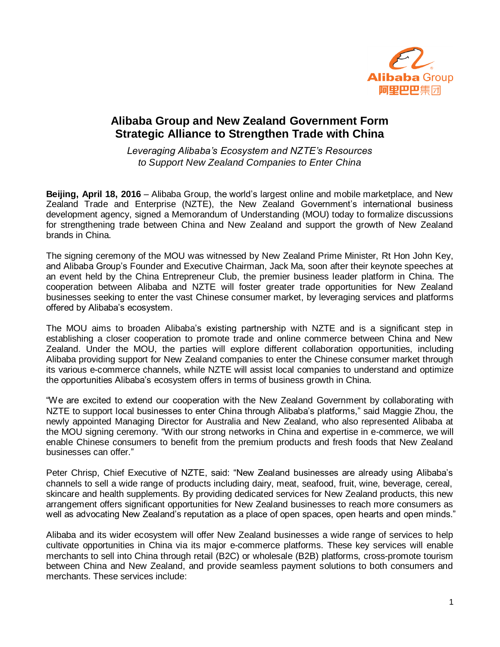

## **Alibaba Group and New Zealand Government Form Strategic Alliance to Strengthen Trade with China**

*Leveraging Alibaba's Ecosystem and NZTE's Resources to Support New Zealand Companies to Enter China*

**Beijing, April 18, 2016** – Alibaba Group, the world's largest online and mobile marketplace, and New Zealand Trade and Enterprise (NZTE), the New Zealand Government's international business development agency, signed a Memorandum of Understanding (MOU) today to formalize discussions for strengthening trade between China and New Zealand and support the growth of New Zealand brands in China.

The signing ceremony of the MOU was witnessed by New Zealand Prime Minister, Rt Hon John Key, and Alibaba Group's Founder and Executive Chairman, Jack Ma, soon after their keynote speeches at an event held by the China Entrepreneur Club, the premier business leader platform in China. The cooperation between Alibaba and NZTE will foster greater trade opportunities for New Zealand businesses seeking to enter the vast Chinese consumer market, by leveraging services and platforms offered by Alibaba's ecosystem.

The MOU aims to broaden Alibaba's existing partnership with NZTE and is a significant step in establishing a closer cooperation to promote trade and online commerce between China and New Zealand. Under the MOU, the parties will explore different collaboration opportunities, including Alibaba providing support for New Zealand companies to enter the Chinese consumer market through its various e-commerce channels, while NZTE will assist local companies to understand and optimize the opportunities Alibaba's ecosystem offers in terms of business growth in China.

"We are excited to extend our cooperation with the New Zealand Government by collaborating with NZTE to support local businesses to enter China through Alibaba's platforms," said Maggie Zhou, the newly appointed Managing Director for Australia and New Zealand, who also represented Alibaba at the MOU signing ceremony. "With our strong networks in China and expertise in e-commerce, we will enable Chinese consumers to benefit from the premium products and fresh foods that New Zealand businesses can offer."

Peter Chrisp, Chief Executive of NZTE, said: "New Zealand businesses are already using Alibaba's channels to sell a wide range of products including dairy, meat, seafood, fruit, wine, beverage, cereal, skincare and health supplements. By providing dedicated services for New Zealand products, this new arrangement offers significant opportunities for New Zealand businesses to reach more consumers as well as advocating New Zealand's reputation as a place of open spaces, open hearts and open minds."

Alibaba and its wider ecosystem will offer New Zealand businesses a wide range of services to help cultivate opportunities in China via its major e-commerce platforms. These key services will enable merchants to sell into China through retail (B2C) or wholesale (B2B) platforms, cross-promote tourism between China and New Zealand, and provide seamless payment solutions to both consumers and merchants. These services include: